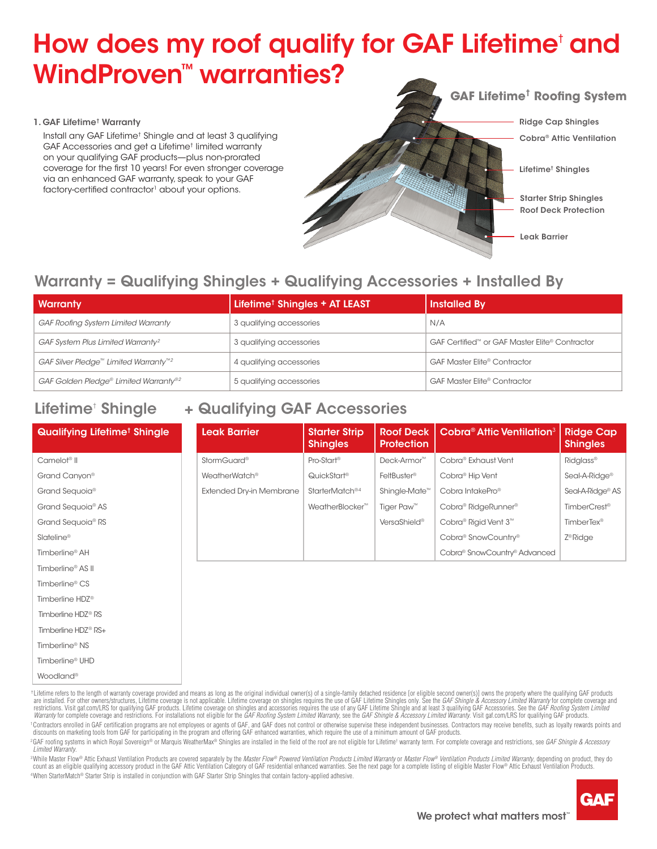# How does my roof qualify for GAF Lifetime<sup>†</sup> and WindProven<sup>™</sup> warranties?

#### 1. GAF Lifetime† Warranty

Timberline® UHD Woodland®

 Install any GAF Lifetime† Shingle and at least 3 qualifying GAF Accessories and get a Lifetime† limited warranty on your qualifying GAF products—plus non-prorated coverage for the first 10 years! For even stronger coverage via an enhanced GAF warranty, speak to your GAF factory-certified contractor<sup>1</sup> about your options.



Ridge Cap Shingles Cobra® Attic Ventilation

Lifetime† Shingles

Roof Deck Protection Starter Strip Shingles

Leak Barrier

## Warranty = Qualifying Shingles + Qualifying Accessories + Installed By

| <b>Warranty</b>                                               | Lifetime <sup>†</sup> Shingles + AT LEAST | <b>Installed By</b>                            |  |  |
|---------------------------------------------------------------|-------------------------------------------|------------------------------------------------|--|--|
| <b>GAF Roofing System Limited Warranty</b>                    | 3 qualifying accessories                  | N/A                                            |  |  |
| GAF System Plus Limited Warranty <sup>2</sup>                 | 3 qualifying accessories                  | GAF Certified™ or GAF Master Elite® Contractor |  |  |
| GAF Silver Pledge <sup>™</sup> Limited Warranty <sup>™2</sup> | 4 qualifying accessories                  | <b>GAF Master Elite® Contractor</b>            |  |  |
| GAF Golden Pledge® Limited Warranty® <sup>2</sup>             | 5 qualifying accessories                  | <b>GAF Master Elite® Contractor</b>            |  |  |

### Lifetime<sup>†</sup> Shingle + Qualifying GAF Accessories

| <b>Qualifying Lifetime<sup>t</sup> Shingle</b> | <b>Leak Barrier</b>             | <b>Starter Strip</b><br><b>Shingles</b> | <b>Roof Deck</b><br><b>Protection</b> | Cobra <sup>®</sup> Attic Ventilation <sup>3</sup> | <b>Ridge Cap</b><br><b>Shingles</b> |
|------------------------------------------------|---------------------------------|-----------------------------------------|---------------------------------------|---------------------------------------------------|-------------------------------------|
| Camelot <sup>®</sup> II                        | <b>StormGuard®</b>              | Pro-Start <sup>®</sup>                  | Deck-Armor <sup>™</sup>               | Cobra <sup>®</sup> Exhaust Vent                   | <b>Ridglass®</b>                    |
| Grand Canyon®                                  | WeatherWatch <sup>®</sup>       | QuickStart <sup>®</sup>                 | FeltBuster <sup>®</sup>               | Cobra <sup>®</sup> Hip Vent                       | Seal-A-Ridge <sup>®</sup>           |
| Grand Sequoia <sup>®</sup>                     | <b>Extended Dry-in Membrane</b> | StarterMatch <sup>®4</sup>              | Shingle-Mate <sup>™</sup>             | Cobra IntakePro <sup>®</sup>                      | Seal-A-Ridge <sup>®</sup> AS        |
| Grand Sequoia <sup>®</sup> AS                  |                                 | WeatherBlocker <sup>™</sup>             | Tiger Paw <sup>™</sup>                | Cobra <sup>®</sup> RidgeRunner <sup>®</sup>       | TimberCrest <sup>®</sup>            |
| Grand Sequoia <sup>®</sup> RS                  |                                 |                                         | VersaShield®                          | Cobra <sup>®</sup> Rigid Vent 3 <sup>™</sup>      | TimberTex <sup>®</sup>              |
| Slateline <sup>®</sup>                         |                                 |                                         |                                       | Cobra <sup>®</sup> SnowCountry®                   | Z <sup>®</sup> Ridge                |
| Timberline <sup>®</sup> AH                     |                                 |                                         |                                       | Cobra® SnowCountry® Advanced                      |                                     |
| Timberline <sup>®</sup> AS II                  |                                 |                                         |                                       |                                                   |                                     |
| Timberline <sup>®</sup> CS                     |                                 |                                         |                                       |                                                   |                                     |
| Timberline HDZ <sup>®</sup>                    |                                 |                                         |                                       |                                                   |                                     |
| Timberline HDZ <sup>®</sup> RS                 |                                 |                                         |                                       |                                                   |                                     |
| Timberline HDZ <sup>®</sup> RS+                |                                 |                                         |                                       |                                                   |                                     |
| Timberline <sup>®</sup> NS                     |                                 |                                         |                                       |                                                   |                                     |

\*Lifetime refers to the length of warranty coverage provided and means as long as the original individual owner(s) of a single-family detached residence [or eligible second owner(s)] owns the property where the qualifying are installed. For other owners/structures, Lifetime coverage is not applicable. Lifetime coverage on shingles requires the use of GAF Lifetime Shingles only. See the *GAF Shingle & Accessory Limited Warranty* for complete Warranty for complete coverage and restrictions. For installations not eligible for the GAF Roofing System Limited Warranty, see the GAF Shingle & Accessory Limited Warranty. Visit gaf.com/LRS for qualifying GAF products.

Contractors enrolled in GAF certification programs are not employees or agents of GAF, and GAF does not control or otherwise supervise these independent businesses. Contractors may receive benefits, such as loyalty rewards discounts on marketing tools from GAF for participating in the program and offering GAF enhanced warranties, which require the use of a minimum amount of GAF products

°GAF roofing systems in which Royal Sovereign® or Marquis WeatherMax® Shingles are installed in the field of the roof are not eligible for Lifetime† warranty term. For complete coverage and restrictions, see *GAF Shingle Limited Warranty.*

4When StarterMatch® Starter Strip is installed in conjunction with GAF Starter Strip Shingles that contain factory-applied adhesive. <sup>3</sup>While Master Flow® Attic Exhaust Ventilation Products are covered separately by the *Master Flow® Powered Ventilation Products Limited Warranty or Master Flow® Ventilation Products Limited Warranty, depending on product* count as an eligible qualifying accessory product in the GAF Attic Ventilation Category of GAF residential enhanced warranties. See the next page for a complete listing of eligible Master Flow® Attic Exhaust Ventilation Pr